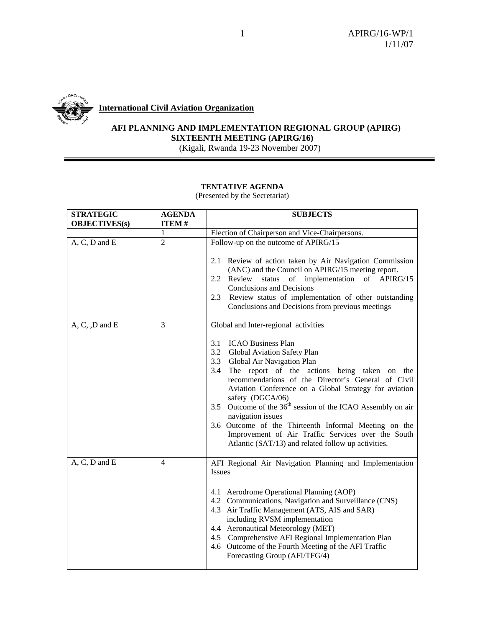

**International Civil Aviation Organization**

# **AFI PLANNING AND IMPLEMENTATION REGIONAL GROUP (APIRG) SIXTEENTH MEETING (APIRG/16)**

(Kigali, Rwanda 19-23 November 2007)

#### **TENTATIVE AGENDA**

| <b>STRATEGIC</b><br><b>OBJECTIVES(s)</b> | <b>AGENDA</b><br><b>ITEM#</b> | <b>SUBJECTS</b>                                                                                                                                                                                                                                                                                                                                                                                                                                                                                                                                                                                               |
|------------------------------------------|-------------------------------|---------------------------------------------------------------------------------------------------------------------------------------------------------------------------------------------------------------------------------------------------------------------------------------------------------------------------------------------------------------------------------------------------------------------------------------------------------------------------------------------------------------------------------------------------------------------------------------------------------------|
|                                          | 1                             | Election of Chairperson and Vice-Chairpersons.                                                                                                                                                                                                                                                                                                                                                                                                                                                                                                                                                                |
| $A, C, D$ and $E$                        | $\overline{2}$                | Follow-up on the outcome of APIRG/15<br>2.1 Review of action taken by Air Navigation Commission<br>(ANC) and the Council on APIRG/15 meeting report.<br>of implementation of APIRG/15<br>2.2 Review<br>status<br><b>Conclusions and Decisions</b><br>Review status of implementation of other outstanding<br>2.3<br>Conclusions and Decisions from previous meetings                                                                                                                                                                                                                                          |
| $A, C, D$ and $E$                        | 3                             | Global and Inter-regional activities<br><b>ICAO Business Plan</b><br>3.1<br>3.2 Global Aviation Safety Plan<br>3.3 Global Air Navigation Plan<br>3.4 The report of the actions being taken on the<br>recommendations of the Director's General of Civil<br>Aviation Conference on a Global Strategy for aviation<br>safety (DGCA/06)<br>Outcome of the 36 <sup>th</sup> session of the ICAO Assembly on air<br>3.5<br>navigation issues<br>3.6 Outcome of the Thirteenth Informal Meeting on the<br>Improvement of Air Traffic Services over the South<br>Atlantic (SAT/13) and related follow up activities. |
| $A, C, D$ and $E$                        | $\overline{4}$                | AFI Regional Air Navigation Planning and Implementation<br><b>Issues</b><br>4.1 Aerodrome Operational Planning (AOP)<br>4.2 Communications, Navigation and Surveillance (CNS)<br>4.3 Air Traffic Management (ATS, AIS and SAR)<br>including RVSM implementation<br>4.4 Aeronautical Meteorology (MET)<br>4.5 Comprehensive AFI Regional Implementation Plan<br>4.6 Outcome of the Fourth Meeting of the AFI Traffic<br>Forecasting Group (AFI/TFG/4)                                                                                                                                                          |

(Presented by the Secretariat)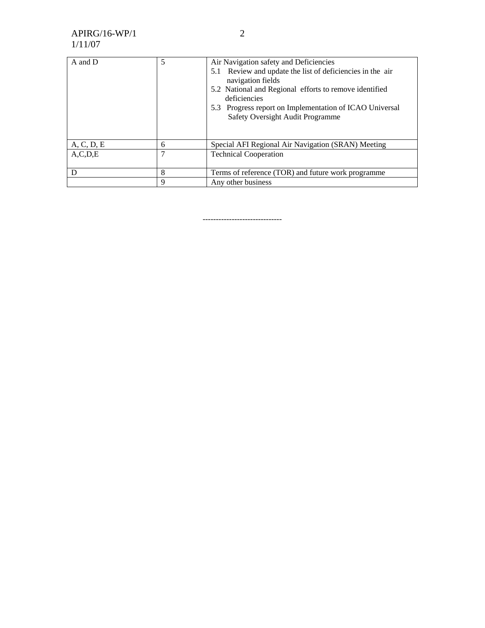# APIRG/16-WP/1 1/11/07

| A and D    | 5 | Air Navigation safety and Deficiencies<br>5.1 Review and update the list of deficiencies in the air<br>navigation fields<br>5.2 National and Regional efforts to remove identified |
|------------|---|------------------------------------------------------------------------------------------------------------------------------------------------------------------------------------|
|            |   | deficiencies<br>5.3 Progress report on Implementation of ICAO Universal<br>Safety Oversight Audit Programme                                                                        |
|            |   |                                                                                                                                                                                    |
| A, C, D, E | 6 | Special AFI Regional Air Navigation (SRAN) Meeting                                                                                                                                 |
| A, C, D, E | ┑ | <b>Technical Cooperation</b>                                                                                                                                                       |
|            | 8 | Terms of reference (TOR) and future work programme                                                                                                                                 |
|            | 9 | Any other business                                                                                                                                                                 |

------------------------------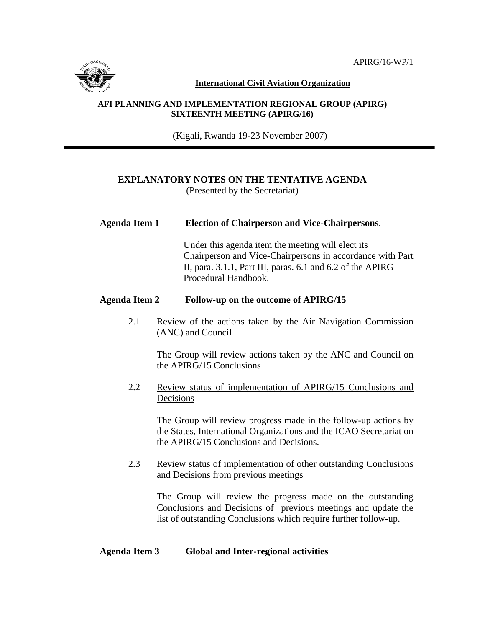

**International Civil Aviation Organization**

#### **AFI PLANNING AND IMPLEMENTATION REGIONAL GROUP (APIRG) SIXTEENTH MEETING (APIRG/16)**

(Kigali, Rwanda 19-23 November 2007)

## **EXPLANATORY NOTES ON THE TENTATIVE AGENDA**

(Presented by the Secretariat)

## **Agenda Item 1 Election of Chairperson and Vice-Chairpersons**.

 Under this agenda item the meeting will elect its Chairperson and Vice-Chairpersons in accordance with Part II, para. 3.1.1, Part III, paras. 6.1 and 6.2 of the APIRG Procedural Handbook.

## **Agenda Item 2 Follow-up on the outcome of APIRG/15**

2.1 Review of the actions taken by the Air Navigation Commission (ANC) and Council

The Group will review actions taken by the ANC and Council on the APIRG/15 Conclusions

2.2 Review status of implementation of APIRG/15 Conclusions and Decisions

> The Group will review progress made in the follow-up actions by the States, International Organizations and the ICAO Secretariat on the APIRG/15 Conclusions and Decisions.

## 2.3 Review status of implementation of other outstanding Conclusions and Decisions from previous meetings

The Group will review the progress made on the outstanding Conclusions and Decisions of previous meetings and update the list of outstanding Conclusions which require further follow-up.

## **Agenda Item 3 Global and Inter-regional activities**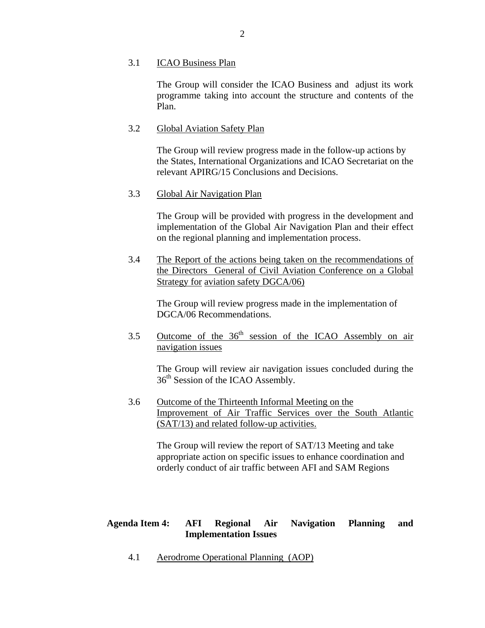#### 3.1 ICAO Business Plan

 The Group will consider the ICAO Business and adjust its work programme taking into account the structure and contents of the Plan.

## 3.2 Global Aviation Safety Plan

 The Group will review progress made in the follow-up actions by the States, International Organizations and ICAO Secretariat on the relevant APIRG/15 Conclusions and Decisions.

#### 3.3 Global Air Navigation Plan

 The Group will be provided with progress in the development and implementation of the Global Air Navigation Plan and their effect on the regional planning and implementation process.

3.4 The Report of the actions being taken on the recommendations of the Directors General of Civil Aviation Conference on a Global Strategy for aviation safety DGCA/06)

 The Group will review progress made in the implementation of DGCA/06 Recommendations.

3.5 Outcome of the 36th session of the ICAO Assembly on air navigation issues

The Group will review air navigation issues concluded during the  $36<sup>th</sup>$  Session of the ICAO Assembly.

 3.6 Outcome of the Thirteenth Informal Meeting on the Improvement of Air Traffic Services over the South Atlantic (SAT/13) and related follow-up activities.

> The Group will review the report of SAT/13 Meeting and take appropriate action on specific issues to enhance coordination and orderly conduct of air traffic between AFI and SAM Regions

## **Agenda Item 4: AFI Regional Air Navigation Planning and Implementation Issues**

4.1 Aerodrome Operational Planning (AOP)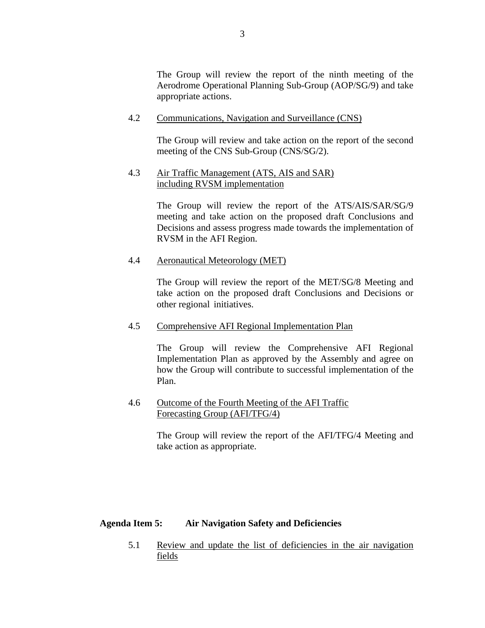The Group will review the report of the ninth meeting of the Aerodrome Operational Planning Sub-Group (AOP/SG/9) and take appropriate actions.

4.2 Communications, Navigation and Surveillance (CNS)

The Group will review and take action on the report of the second meeting of the CNS Sub-Group (CNS/SG/2).

#### 4.3 Air Traffic Management (ATS, AIS and SAR) including RVSM implementation

The Group will review the report of the ATS/AIS/SAR/SG/9 meeting and take action on the proposed draft Conclusions and Decisions and assess progress made towards the implementation of RVSM in the AFI Region.

#### 4.4 Aeronautical Meteorology (MET)

The Group will review the report of the MET/SG/8 Meeting and take action on the proposed draft Conclusions and Decisions or other regional initiatives.

## 4.5 Comprehensive AFI Regional Implementation Plan

The Group will review the Comprehensive AFI Regional Implementation Plan as approved by the Assembly and agree on how the Group will contribute to successful implementation of the Plan.

## 4.6 Outcome of the Fourth Meeting of the AFI Traffic Forecasting Group (AFI/TFG/4)

 The Group will review the report of the AFI/TFG/4 Meeting and take action as appropriate.

## **Agenda Item 5: Air Navigation Safety and Deficiencies**

5.1 Review and update the list of deficiencies in the air navigation fields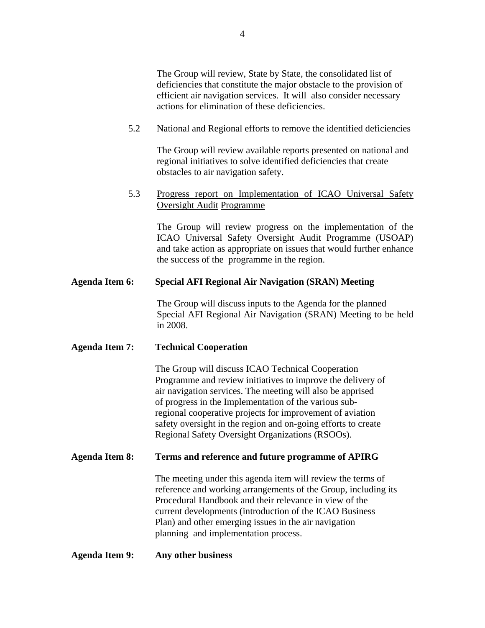The Group will review, State by State, the consolidated list of deficiencies that constitute the major obstacle to the provision of efficient air navigation services. It will also consider necessary actions for elimination of these deficiencies.

## 5.2 National and Regional efforts to remove the identified deficiencies

 The Group will review available reports presented on national and regional initiatives to solve identified deficiencies that create obstacles to air navigation safety.

## 5.3 Progress report on Implementation of ICAO Universal Safety Oversight Audit Programme

The Group will review progress on the implementation of the ICAO Universal Safety Oversight Audit Programme (USOAP) and take action as appropriate on issues that would further enhance the success of the programme in the region.

## **Agenda Item 6: Special AFI Regional Air Navigation (SRAN) Meeting**

The Group will discuss inputs to the Agenda for the planned Special AFI Regional Air Navigation (SRAN) Meeting to be held in 2008.

## **Agenda Item 7: Technical Cooperation**

 The Group will discuss ICAO Technical Cooperation Programme and review initiatives to improve the delivery of air navigation services. The meeting will also be apprised of progress in the Implementation of the various sub regional cooperative projects for improvement of aviation safety oversight in the region and on-going efforts to create Regional Safety Oversight Organizations (RSOOs).

## **Agenda Item 8: Terms and reference and future programme of APIRG**

The meeting under this agenda item will review the terms of reference and working arrangements of the Group, including its Procedural Handbook and their relevance in view of the current developments (introduction of the ICAO Business Plan) and other emerging issues in the air navigation planning and implementation process.

#### **Agenda Item 9: Any other business**